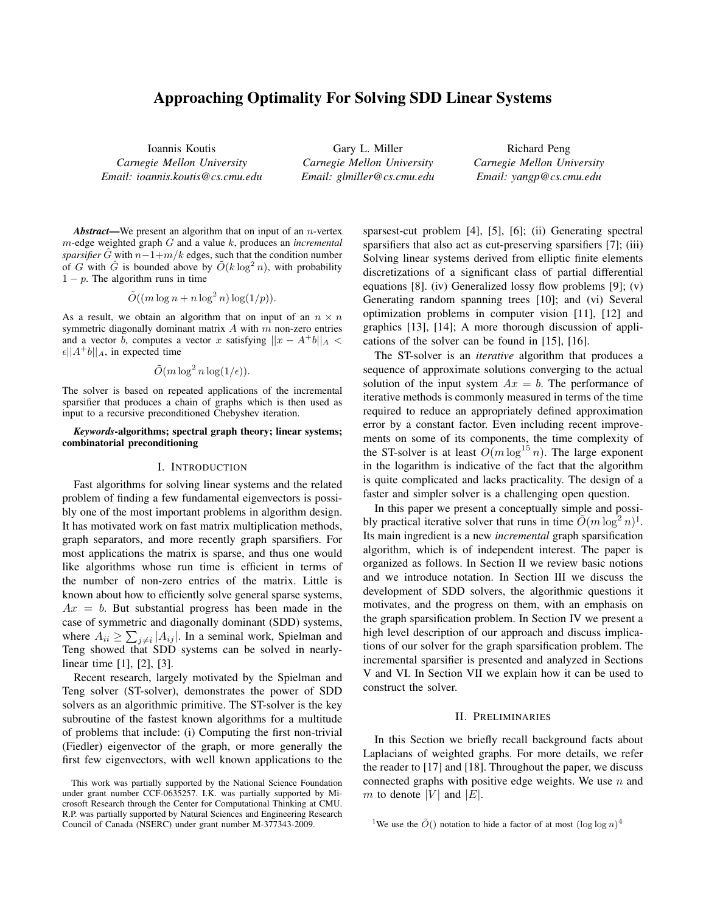# Approaching Optimality For Solving SDD Linear Systems

Ioannis Koutis *Carnegie Mellon University Email: ioannis.koutis@cs.cmu.edu*

Gary L. Miller *Carnegie Mellon University Email: glmiller@cs.cmu.edu*

Richard Peng *Carnegie Mellon University Email: yangp@cs.cmu.edu*

*Abstract*—We present an algorithm that on input of an n-vertex m-edge weighted graph G and a value k, produces an *incremental sparsifier* G with  $n-1+m/k$  edges, such that the condition number of G with G is bounded above by  $O(k \log^2 n)$ , with probability  $1 - p$ . The algorithm runs in time

$$
\tilde{O}((m \log n + n \log^2 n) \log(1/p)).
$$

As a result, we obtain an algorithm that on input of an  $n \times n$ symmetric diagonally dominant matrix  $A$  with  $m$  non-zero entries and a vector b, computes a vector x satisfying  $||x - A^{\dagger}b||_A$  <  $\epsilon ||A^+b||_A$ , in expected time

# $\tilde{O}(m \log^2 n \log(1/\epsilon)).$

The solver is based on repeated applications of the incremental sparsifier that produces a chain of graphs which is then used as input to a recursive preconditioned Chebyshev iteration.

#### *Keywords*-algorithms; spectral graph theory; linear systems; combinatorial preconditioning

#### I. INTRODUCTION

Fast algorithms for solving linear systems and the related problem of finding a few fundamental eigenvectors is possibly one of the most important problems in algorithm design. It has motivated work on fast matrix multiplication methods, graph separators, and more recently graph sparsifiers. For most applications the matrix is sparse, and thus one would like algorithms whose run time is efficient in terms of the number of non-zero entries of the matrix. Little is known about how to efficiently solve general sparse systems,  $Ax = b$ . But substantial progress has been made in the case of symmetric and diagonally dominant (SDD) systems, where  $A_{ii} \ge \sum_{j \ne i} |A_{ij}|$ . In a seminal work, Spielman and Teng showed that SDD systems can be solved in nearlylinear time [1], [2], [3].

Recent research, largely motivated by the Spielman and Teng solver (ST-solver), demonstrates the power of SDD solvers as an algorithmic primitive. The ST-solver is the key subroutine of the fastest known algorithms for a multitude of problems that include: (i) Computing the first non-trivial (Fiedler) eigenvector of the graph, or more generally the first few eigenvectors, with well known applications to the sparsest-cut problem [4], [5], [6]; (ii) Generating spectral sparsifiers that also act as cut-preserving sparsifiers [7]; (iii) Solving linear systems derived from elliptic finite elements discretizations of a significant class of partial differential equations [8]. (iv) Generalized lossy flow problems [9]; (v) Generating random spanning trees [10]; and (vi) Several optimization problems in computer vision [11], [12] and graphics [13], [14]; A more thorough discussion of applications of the solver can be found in [15], [16].

The ST-solver is an *iterative* algorithm that produces a sequence of approximate solutions converging to the actual solution of the input system  $Ax = b$ . The performance of iterative methods is commonly measured in terms of the time required to reduce an appropriately defined approximation error by a constant factor. Even including recent improvements on some of its components, the time complexity of the ST-solver is at least  $O(m \log^{15} n)$ . The large exponent in the logarithm is indicative of the fact that the algorithm is quite complicated and lacks practicality. The design of a faster and simpler solver is a challenging open question.

In this paper we present a conceptually simple and possibly practical iterative solver that runs in time  $\tilde{O}(m \log^2 n)^1$ . Its main ingredient is a new *incremental* graph sparsification algorithm, which is of independent interest. The paper is organized as follows. In Section II we review basic notions and we introduce notation. In Section III we discuss the development of SDD solvers, the algorithmic questions it motivates, and the progress on them, with an emphasis on the graph sparsification problem. In Section IV we present a high level description of our approach and discuss implications of our solver for the graph sparsification problem. The incremental sparsifier is presented and analyzed in Sections V and VI. In Section VII we explain how it can be used to construct the solver.

## II. PRELIMINARIES

In this Section we briefly recall background facts about Laplacians of weighted graphs. For more details, we refer the reader to [17] and [18]. Throughout the paper, we discuss connected graphs with positive edge weights. We use  $n$  and m to denote |V| and  $|E|$ .

This work was partially supported by the National Science Foundation under grant number CCF-0635257. I.K. was partially supported by Microsoft Research through the Center for Computational Thinking at CMU. R.P. was partially supported by Natural Sciences and Engineering Research Council of Canada (NSERC) under grant number M-377343-2009.

<sup>&</sup>lt;sup>1</sup>We use the  $\tilde{O}$ () notation to hide a factor of at most  $(\log \log n)^4$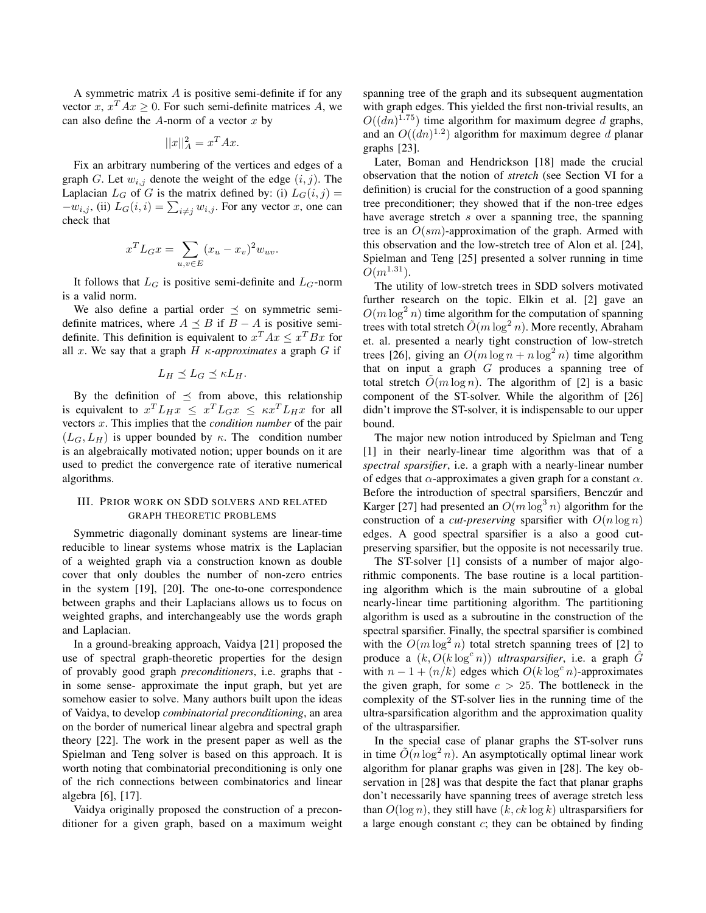A symmetric matrix  $A$  is positive semi-definite if for any vector x,  $x^T A x \ge 0$ . For such semi-definite matrices A, we can also define the  $A$ -norm of a vector  $x$  by

$$
||x||_A^2 = x^T A x.
$$

Fix an arbitrary numbering of the vertices and edges of a graph G. Let  $w_{i,j}$  denote the weight of the edge  $(i, j)$ . The Laplacian  $L_G$  of G is the matrix defined by: (i)  $L_G(i, j)$  =  $-w_{i,j}$ , (ii)  $L_G(i,i) = \sum_{i \neq j} w_{i,j}$ . For any vector x, one can check that

$$
x^T L_G x = \sum_{u,v \in E} (x_u - x_v)^2 w_{uv}.
$$

It follows that  $L_G$  is positive semi-definite and  $L_G$ -norm is a valid norm.

We also define a partial order  $\preceq$  on symmetric semidefinite matrices, where  $A \preceq B$  if  $B - A$  is positive semidefinite. This definition is equivalent to  $x^T A x \leq x^T B x$  for all x. We say that a graph  $H$   $\kappa$ -*approximates* a graph  $G$  if

$$
L_H \preceq L_G \preceq \kappa L_H.
$$

By the definition of  $\preceq$  from above, this relationship is equivalent to  $x^T L_H x \leq x^T L_G x \leq \kappa x^T L_H x$  for all vectors x. This implies that the *condition number* of the pair  $(L_G, L_H)$  is upper bounded by  $\kappa$ . The condition number is an algebraically motivated notion; upper bounds on it are used to predict the convergence rate of iterative numerical algorithms.

# III. PRIOR WORK ON SDD SOLVERS AND RELATED GRAPH THEORETIC PROBLEMS

Symmetric diagonally dominant systems are linear-time reducible to linear systems whose matrix is the Laplacian of a weighted graph via a construction known as double cover that only doubles the number of non-zero entries in the system [19], [20]. The one-to-one correspondence between graphs and their Laplacians allows us to focus on weighted graphs, and interchangeably use the words graph and Laplacian.

In a ground-breaking approach, Vaidya [21] proposed the use of spectral graph-theoretic properties for the design of provably good graph *preconditioners*, i.e. graphs that in some sense- approximate the input graph, but yet are somehow easier to solve. Many authors built upon the ideas of Vaidya, to develop *combinatorial preconditioning*, an area on the border of numerical linear algebra and spectral graph theory [22]. The work in the present paper as well as the Spielman and Teng solver is based on this approach. It is worth noting that combinatorial preconditioning is only one of the rich connections between combinatorics and linear algebra [6], [17].

Vaidya originally proposed the construction of a preconditioner for a given graph, based on a maximum weight spanning tree of the graph and its subsequent augmentation with graph edges. This yielded the first non-trivial results, an  $O((dn)^{1.75})$  time algorithm for maximum degree d graphs, and an  $O((dn)^{1.2})$  algorithm for maximum degree d planar graphs [23].

Later, Boman and Hendrickson [18] made the crucial observation that the notion of *stretch* (see Section VI for a definition) is crucial for the construction of a good spanning tree preconditioner; they showed that if the non-tree edges have average stretch s over a spanning tree, the spanning tree is an  $O(sm)$ -approximation of the graph. Armed with this observation and the low-stretch tree of Alon et al. [24], Spielman and Teng [25] presented a solver running in time  $O(m^{1.31})$ .

The utility of low-stretch trees in SDD solvers motivated further research on the topic. Elkin et al. [2] gave an  $O(m \log^2 n)$  time algorithm for the computation of spanning trees with total stretch  $\tilde{O}(m \log^2 n)$ . More recently, Abraham et. al. presented a nearly tight construction of low-stretch trees [26], giving an  $O(m \log n + n \log^2 n)$  time algorithm that on input a graph  $G$  produces a spanning tree of total stretch  $O(m \log n)$ . The algorithm of [2] is a basic component of the ST-solver. While the algorithm of [26] didn't improve the ST-solver, it is indispensable to our upper bound.

The major new notion introduced by Spielman and Teng [1] in their nearly-linear time algorithm was that of a *spectral sparsifier*, i.e. a graph with a nearly-linear number of edges that  $\alpha$ -approximates a given graph for a constant  $\alpha$ . Before the introduction of spectral sparsifiers, Benczúr and Karger [27] had presented an  $O(m \log^3 n)$  algorithm for the construction of a *cut-preserving* sparsifier with  $O(n \log n)$ edges. A good spectral sparsifier is a also a good cutpreserving sparsifier, but the opposite is not necessarily true.

The ST-solver [1] consists of a number of major algorithmic components. The base routine is a local partitioning algorithm which is the main subroutine of a global nearly-linear time partitioning algorithm. The partitioning algorithm is used as a subroutine in the construction of the spectral sparsifier. Finally, the spectral sparsifier is combined with the  $O(m \log^2 n)$  total stretch spanning trees of [2] to produce a  $(k, O(k \log^c n))$  *ultrasparsifier*, i.e. a graph  $\hat{G}$ with  $n - 1 + (n/k)$  edges which  $O(k \log^c n)$ -approximates the given graph, for some  $c > 25$ . The bottleneck in the complexity of the ST-solver lies in the running time of the ultra-sparsification algorithm and the approximation quality of the ultrasparsifier.

In the special case of planar graphs the ST-solver runs in time  $\tilde{O}(n \log^2 n)$ . An asymptotically optimal linear work algorithm for planar graphs was given in [28]. The key observation in [28] was that despite the fact that planar graphs don't necessarily have spanning trees of average stretch less than  $O(\log n)$ , they still have  $(k, ck \log k)$  ultrasparsifiers for a large enough constant  $c$ ; they can be obtained by finding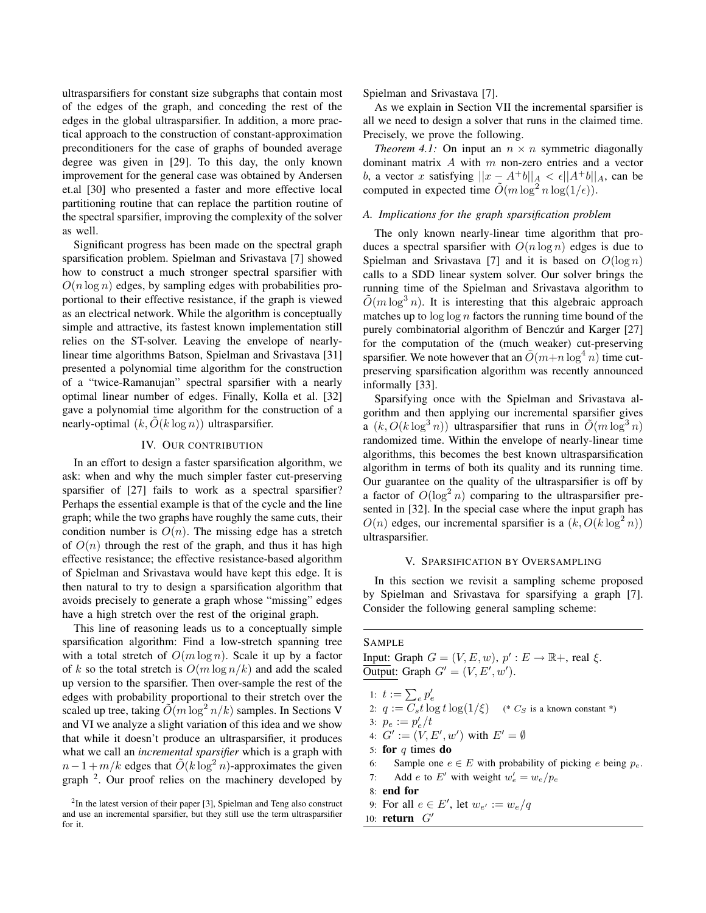ultrasparsifiers for constant size subgraphs that contain most of the edges of the graph, and conceding the rest of the edges in the global ultrasparsifier. In addition, a more practical approach to the construction of constant-approximation preconditioners for the case of graphs of bounded average degree was given in [29]. To this day, the only known improvement for the general case was obtained by Andersen et.al [30] who presented a faster and more effective local partitioning routine that can replace the partition routine of the spectral sparsifier, improving the complexity of the solver as well.

Significant progress has been made on the spectral graph sparsification problem. Spielman and Srivastava [7] showed how to construct a much stronger spectral sparsifier with  $O(n \log n)$  edges, by sampling edges with probabilities proportional to their effective resistance, if the graph is viewed as an electrical network. While the algorithm is conceptually simple and attractive, its fastest known implementation still relies on the ST-solver. Leaving the envelope of nearlylinear time algorithms Batson, Spielman and Srivastava [31] presented a polynomial time algorithm for the construction of a "twice-Ramanujan" spectral sparsifier with a nearly optimal linear number of edges. Finally, Kolla et al. [32] gave a polynomial time algorithm for the construction of a nearly-optimal  $(k, O(k \log n))$  ultrasparsifier.

## IV. OUR CONTRIBUTION

In an effort to design a faster sparsification algorithm, we ask: when and why the much simpler faster cut-preserving sparsifier of [27] fails to work as a spectral sparsifier? Perhaps the essential example is that of the cycle and the line graph; while the two graphs have roughly the same cuts, their condition number is  $O(n)$ . The missing edge has a stretch of  $O(n)$  through the rest of the graph, and thus it has high effective resistance; the effective resistance-based algorithm of Spielman and Srivastava would have kept this edge. It is then natural to try to design a sparsification algorithm that avoids precisely to generate a graph whose "missing" edges have a high stretch over the rest of the original graph.

This line of reasoning leads us to a conceptually simple sparsification algorithm: Find a low-stretch spanning tree with a total stretch of  $O(m \log n)$ . Scale it up by a factor of k so the total stretch is  $O(m \log n/k)$  and add the scaled up version to the sparsifier. Then over-sample the rest of the edges with probability proportional to their stretch over the scaled up tree, taking  $\tilde{O}(m \log^2 n/k)$  samples. In Sections V and VI we analyze a slight variation of this idea and we show that while it doesn't produce an ultrasparsifier, it produces what we call an *incremental sparsifier* which is a graph with  $n-1 + m/k$  edges that  $\tilde{O}(k \log^2 n)$ -approximates the given graph <sup>2</sup>. Our proof relies on the machinery developed by Spielman and Srivastava [7].

As we explain in Section VII the incremental sparsifier is all we need to design a solver that runs in the claimed time. Precisely, we prove the following.

*Theorem 4.1:* On input an  $n \times n$  symmetric diagonally dominant matrix A with m non-zero entries and a vector b, a vector x satisfying  $||x - A^+b||_A < \epsilon ||A^+b||_A$ , can be computed in expected time  $\tilde{O}(m \log^2 n \log(1/\epsilon)).$ 

## *A. Implications for the graph sparsification problem*

The only known nearly-linear time algorithm that produces a spectral sparsifier with  $O(n \log n)$  edges is due to Spielman and Srivastava [7] and it is based on  $O(\log n)$ calls to a SDD linear system solver. Our solver brings the running time of the Spielman and Srivastava algorithm to  $\tilde{O}(m \log^3 n)$ . It is interesting that this algebraic approach matches up to  $\log \log n$  factors the running time bound of the purely combinatorial algorithm of Benczúr and Karger [27] for the computation of the (much weaker) cut-preserving sparsifier. We note however that an  $\tilde{O}(m+n \log^4 n)$  time cutpreserving sparsification algorithm was recently announced informally [33].

Sparsifying once with the Spielman and Srivastava algorithm and then applying our incremental sparsifier gives a  $(k, O(k \log^3 n))$  ultrasparsifier that runs in  $\tilde{O}(m \log^3 n)$ randomized time. Within the envelope of nearly-linear time algorithms, this becomes the best known ultrasparsification algorithm in terms of both its quality and its running time. Our guarantee on the quality of the ultrasparsifier is off by a factor of  $O(\log^2 n)$  comparing to the ultrasparsifier presented in [32]. In the special case where the input graph has  $O(n)$  edges, our incremental sparsifier is a  $(k, O(k \log^2 n))$ ultrasparsifier.

### V. SPARSIFICATION BY OVERSAMPLING

In this section we revisit a sampling scheme proposed by Spielman and Srivastava for sparsifying a graph [7]. Consider the following general sampling scheme:

#### **SAMPLE**

Input: Graph  $G = (V, E, w)$ ,  $p' : E \to \mathbb{R}^+$ , real  $\xi$ . Output: Graph  $G' = (V, E', w')$ .

- 1:  $t := \sum_{e} p'_{e}$
- 2:  $q := \overline{C_s} t \log t \log(1/\xi)$  (\*  $C_S$  is a known constant \*)
- 3:  $p_e := p'_e/t$
- 4:  $G' := (V, E', w')$  with  $E' = \emptyset$
- 5: for  $q$  times do
- 6: Sample one  $e \in E$  with probability of picking e being  $p_e$ .
- 7: Add *e* to E' with weight  $w'_e = w_e / p_e$
- 8: end for
- 9: For all  $e \in E'$ , let  $w_{e'} := w_e/q$
- 10: return  $G'$

 $2$ In the latest version of their paper [3], Spielman and Teng also construct and use an incremental sparsifier, but they still use the term ultrasparsifier for it.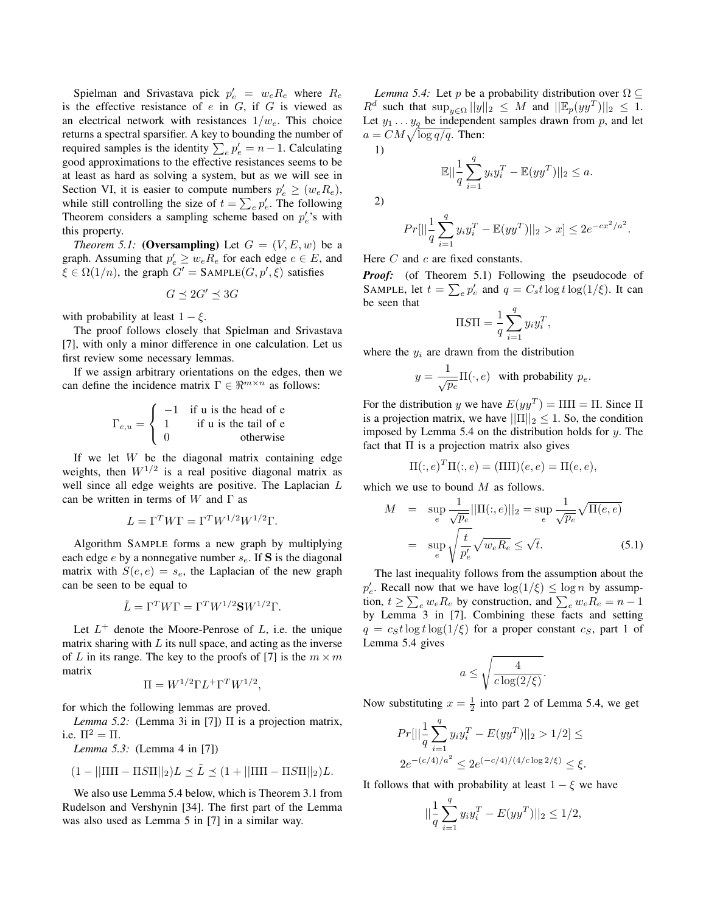Spielman and Srivastava pick  $p'_e = w_e R_e$  where  $R_e$ is the effective resistance of  $e$  in  $G$ , if  $G$  is viewed as an electrical network with resistances  $1/w_e$ . This choice returns a spectral sparsifier. A key to bounding the number of required samples is the identity  $\sum_{e} p'_e = n - 1$ . Calculating good approximations to the effective resistances seems to be at least as hard as solving a system, but as we will see in Section VI, it is easier to compute numbers  $p'_e \geq (w_e R_e)$ , while still controlling the size of  $t = \sum_{e} p'_e$ . The following Theorem considers a sampling scheme based on  $p'_e$ 's with this property.

*Theorem 5.1:* (Oversampling) Let  $G = (V, E, w)$  be a graph. Assuming that  $p'_e \geq w_e R_e$  for each edge  $e \in E$ , and  $\xi \in \Omega(1/n)$ , the graph  $G' = \text{SAMPLE}(G, p', \xi)$  satisfies

$$
G\preceq 2G'\preceq 3G
$$

with probability at least  $1 - \xi$ .

The proof follows closely that Spielman and Srivastava [7], with only a minor difference in one calculation. Let us first review some necessary lemmas.

If we assign arbitrary orientations on the edges, then we can define the incidence matrix  $\Gamma \in \mathbb{R}^{m \times n}$  as follows:

$$
\Gamma_{e,u} = \begin{cases}\n-1 & \text{if } u \text{ is the head of } e \\
1 & \text{if } u \text{ is the tail of } e \\
0 & \text{otherwise}\n\end{cases}
$$

If we let  $W$  be the diagonal matrix containing edge weights, then  $W^{1/2}$  is a real positive diagonal matrix as well since all edge weights are positive. The Laplacian L can be written in terms of W and  $\Gamma$  as

$$
L = \Gamma^T W \Gamma = \Gamma^T W^{1/2} W^{1/2} \Gamma.
$$

Algorithm SAMPLE forms a new graph by multiplying each edge  $e$  by a nonnegative number  $s_e$ . If S is the diagonal matrix with  $S(e, e) = s_e$ , the Laplacian of the new graph can be seen to be equal to

$$
\tilde{L} = \Gamma^T W \Gamma = \Gamma^T W^{1/2} \mathbf{S} W^{1/2} \Gamma.
$$

Let  $L^+$  denote the Moore-Penrose of L, i.e. the unique matrix sharing with  $L$  its null space, and acting as the inverse of L in its range. The key to the proofs of [7] is the  $m \times m$ matrix

$$
\Pi = W^{1/2} \Gamma L^+ \Gamma^T W^{1/2},
$$

for which the following lemmas are proved.

*Lemma 5.2:* (Lemma 3i in [7]) Π is a projection matrix, i.e.  $\Pi^2 = \Pi$ .

*Lemma 5.3:* (Lemma 4 in [7])

$$
(1 - ||\Pi\Pi - \Pi S \Pi||_2)L \preceq \tilde{L} \preceq (1 + ||\Pi\Pi - \Pi S \Pi||_2)L.
$$

We also use Lemma 5.4 below, which is Theorem 3.1 from Rudelson and Vershynin [34]. The first part of the Lemma was also used as Lemma 5 in [7] in a similar way.

*Lemma 5.4:* Let p be a probability distribution over  $\Omega \subseteq$  $R^d$  such that  $\sup_{y \in \Omega} ||y||_2 \leq M$  and  $||\mathbb{E}_p(yy^T)||_2 \leq 1$ . Let  $y_1 \ldots y_q$  be independent samples drawn from p, and let  $a = CM \sqrt{\log q/q}$ . Then:

$$
\mathbb{E}||\frac{1}{q}\sum_{i=1}^{q}y_{i}y_{i}^{T} - \mathbb{E}(yy^{T})||_{2} \leq a.
$$

2)

1)

$$
Pr[||\frac{1}{q}\sum_{i=1}^{q} y_i y_i^T - \mathbb{E}(y y^T)||_2 > x] \le 2e^{-cx^2/a^2}
$$

.

Here  $C$  and  $c$  are fixed constants.

*Proof:* (of Theorem 5.1) Following the pseudocode of SAMPLE, let  $t = \sum_{e} p'_e$  and  $q = C_s t \log t \log(1/\xi)$ . It can be seen that

$$
\Pi S \Pi = \frac{1}{q} \sum_{i=1}^{q} y_i y_i^T,
$$

where the  $y_i$  are drawn from the distribution

$$
y = \frac{1}{\sqrt{p_e}} \Pi(\cdot, e)
$$
 with probability  $p_e$ .

For the distribution y we have  $E(yy^T) = \Pi \Pi = \Pi$ . Since  $\Pi$ is a projection matrix, we have  $||\Pi||_2 \leq 1$ . So, the condition imposed by Lemma 5.4 on the distribution holds for  $y$ . The fact that  $\Pi$  is a projection matrix also gives

$$
\Pi(:,e)^T \Pi(:,e) = (\Pi \Pi)(e,e) = \Pi(e,e),
$$

which we use to bound  $M$  as follows.

$$
M = \sup_{e} \frac{1}{\sqrt{p_e}} ||\Pi(:,e)||_2 = \sup_{e} \frac{1}{\sqrt{p_e}} \sqrt{\Pi(e,e)}
$$

$$
= \sup_{e} \sqrt{\frac{t}{p'_e}} \sqrt{w_e R_e} \le \sqrt{t}.
$$
(5.1)

The last inequality follows from the assumption about the  $p'_e$ . Recall now that we have  $\log(1/\xi) \leq \log n$  by assumption,  $t \ge \sum_{e} w_e R_e$  by construction, and  $\sum_{e} w_e R_e = n - 1$ by Lemma 3 in [7]. Combining these facts and setting  $q = c<sub>S</sub>t \log t \log(1/\xi)$  for a proper constant  $c<sub>S</sub>$ , part 1 of Lemma 5.4 gives

$$
a \le \sqrt{\frac{4}{c \log(2/\xi)}}.
$$

Now substituting  $x = \frac{1}{2}$  into part 2 of Lemma 5.4, we get

$$
Pr[||\frac{1}{q}\sum_{i=1}^{q}y_{i}y_{i}^{T} - E(yy^{T})||_{2} > 1/2] \le
$$
  

$$
2e^{-(c/4)/a^{2}} \le 2e^{(-c/4)/(4/c\log 2/\xi)} \le \xi.
$$

It follows that with probability at least  $1 - \xi$  we have

||1

$$
\frac{1}{q} \sum_{i=1}^{q} y_i y_i^T - E(y y^T) ||_2 \le 1/2,
$$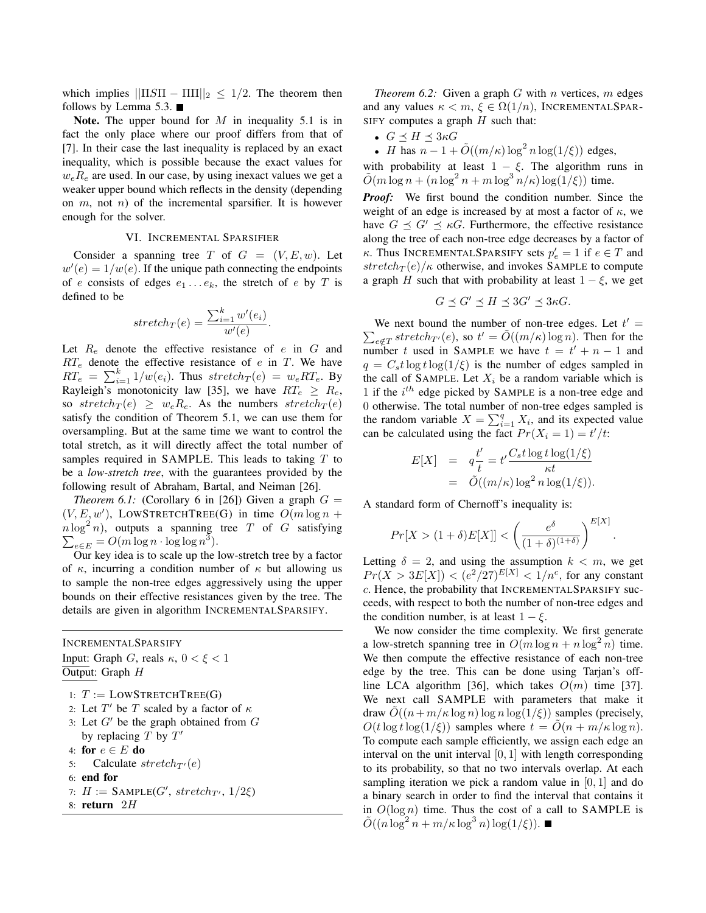which implies  $||\Pi S\Pi - \Pi\Pi||_2 \leq 1/2$ . The theorem then follows by Lemma 5.3.

Note. The upper bound for  $M$  in inequality 5.1 is in fact the only place where our proof differs from that of [7]. In their case the last inequality is replaced by an exact inequality, which is possible because the exact values for  $w_eR_e$  are used. In our case, by using inexact values we get a weaker upper bound which reflects in the density (depending on  $m$ , not  $n$ ) of the incremental sparsifier. It is however enough for the solver.

## VI. INCREMENTAL SPARSIFIER

Consider a spanning tree T of  $G = (V, E, w)$ . Let  $w'(e) = 1/w(e)$ . If the unique path connecting the endpoints of e consists of edges  $e_1 \ldots e_k$ , the stretch of e by T is defined to be

$$
stretch_T(e) = \frac{\sum_{i=1}^{k} w'(e_i)}{w'(e)}.
$$

Let  $R_e$  denote the effective resistance of e in  $G$  and  $RT_e$  denote the effective resistance of e in T. We have  $RT_e = \sum_{i=1}^{k} 1/w(e_i)$ . Thus  $stretch_T(e) = w_e RT_e$ . By Rayleigh's monotonicity law [35], we have  $RT_e \geq R_e$ , so stretch $\tau(e) \geq w_e R_e$ . As the numbers stretch $\tau(e)$ satisfy the condition of Theorem 5.1, we can use them for oversampling. But at the same time we want to control the total stretch, as it will directly affect the total number of samples required in SAMPLE. This leads to taking T to be a *low-stretch tree*, with the guarantees provided by the following result of Abraham, Bartal, and Neiman [26].

*Theorem 6.1:* (Corollary 6 in [26]) Given a graph  $G =$  $(V, E, w')$ , LOWSTRETCHTREE(G) in time  $O(m \log n +$  $n \log^2 n$ , outputs a spanning tree T of G satisfying  $\sum_{e \in E} = O(m \log n \cdot \log \log n^3).$ 

Our key idea is to scale up the low-stretch tree by a factor of  $\kappa$ , incurring a condition number of  $\kappa$  but allowing us to sample the non-tree edges aggressively using the upper bounds on their effective resistances given by the tree. The details are given in algorithm INCREMENTALSPARSIFY.

INCREMENTALSPARSIFY

Input: Graph G, reals  $\kappa$ ,  $0 < \xi < 1$ Output: Graph H

1:  $T :=$  LOWSTRETCHTREE(G)

- 2: Let  $T'$  be T scaled by a factor of  $\kappa$
- 3: Let  $G'$  be the graph obtained from  $G$ by replacing  $T$  by  $T'$
- 4: for  $e \in E$  do
- 5: Calculate  $stretch_{T'}(e)$
- 6: end for
- 7:  $H := \text{SAMPLE}(G', \text{stretch}_{T'}, 1/2\xi)$
- 8: return 2H

*Theorem 6.2:* Given a graph  $G$  with  $n$  vertices,  $m$  edges and any values  $\kappa < m$ ,  $\xi \in \Omega(1/n)$ , INCREMENTALSPAR-SIFY computes a graph  $H$  such that:

- $G \prec H \prec 3\kappa G$
- *H* has  $n 1 + \tilde{O}((m/\kappa) \log^2 n \log(1/\xi))$  edges,

with probability at least  $1 - \xi$ . The algorithm runs in  $\tilde{O}(m \log n + (n \log^2 n + m \log^3 n/\kappa) \log(1/\xi))$  time.

*Proof:* We first bound the condition number. Since the weight of an edge is increased by at most a factor of  $\kappa$ , we have  $G \preceq G' \preceq \kappa G$ . Furthermore, the effective resistance along the tree of each non-tree edge decreases by a factor of  $\kappa$ . Thus INCREMENTALSPARSIFY sets  $p'_e = 1$  if  $e \in T$  and stretch $T(e)/\kappa$  otherwise, and invokes SAMPLE to compute a graph H such that with probability at least  $1 - \xi$ , we get

$$
G \preceq G' \preceq H \preceq 3G' \preceq 3\kappa G.
$$

We next bound the number of non-tree edges. Let  $t' =$  $\sum_{e \notin T} stretch_{T'}(e)$ , so  $t' = \tilde{O}((m/\kappa) \log n)$ . Then for the number t used in SAMPLE we have  $t = t' + n - 1$  and  $q = C<sub>s</sub>t \log t \log(1/\xi)$  is the number of edges sampled in the call of SAMPLE. Let  $X_i$  be a random variable which is 1 if the  $i^{th}$  edge picked by SAMPLE is a non-tree edge and 0 otherwise. The total number of non-tree edges sampled is the random variable  $X = \sum_{i=1}^{q} X_i$ , and its expected value can be calculated using the fact  $Pr(X_i = 1) = t'/t$ :

$$
E[X] = q\frac{t'}{t} = t'\frac{C_s t \log t \log(1/\xi)}{\kappa t}
$$
  
=  $\tilde{O}((m/\kappa) \log^2 n \log(1/\xi)).$ 

A standard form of Chernoff's inequality is:

$$
Pr[X > (1 + \delta)E[X]] < \left(\frac{e^{\delta}}{(1 + \delta)^{(1 + \delta)}}\right)^{E[X]}
$$

.

Letting  $\delta = 2$ , and using the assumption  $k < m$ , we get  $Pr(X > 3E[X]) < (e^2/27)^{E[X]} < 1/n^c$ , for any constant c. Hence, the probability that INCREMENTALSPARSIFY succeeds, with respect to both the number of non-tree edges and the condition number, is at least  $1 - \xi$ .

We now consider the time complexity. We first generate a low-stretch spanning tree in  $O(m \log n + n \log^2 n)$  time. We then compute the effective resistance of each non-tree edge by the tree. This can be done using Tarjan's offline LCA algorithm [36], which takes  $O(m)$  time [37]. We next call SAMPLE with parameters that make it draw  $\tilde{O}((n+m/\kappa \log n) \log n \log(1/\xi))$  samples (precisely,  $O(t \log t \log(1/\xi))$  samples where  $t = O(n + m/\kappa \log n)$ . To compute each sample efficiently, we assign each edge an interval on the unit interval  $[0, 1]$  with length corresponding to its probability, so that no two intervals overlap. At each sampling iteration we pick a random value in [0, 1] and do a binary search in order to find the interval that contains it in  $O(\log n)$  time. Thus the cost of a call to SAMPLE is  $\tilde{O}((n \log^2 n + m/\kappa \log^3 n) \log(1/\xi)).$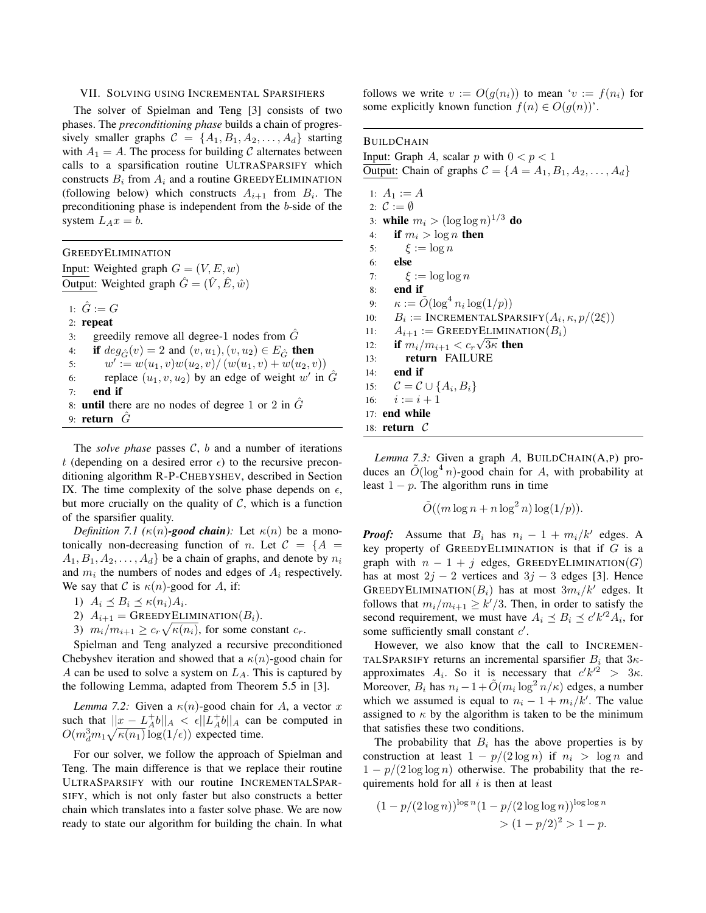#### VII. SOLVING USING INCREMENTAL SPARSIFIERS

The solver of Spielman and Teng [3] consists of two phases. The *preconditioning phase* builds a chain of progressively smaller graphs  $C = \{A_1, B_1, A_2, \ldots, A_d\}$  starting with  $A_1 = A$ . The process for building C alternates between calls to a sparsification routine ULTRASPARSIFY which constructs  $B_i$  from  $A_i$  and a routine GREEDYELIMINATION (following below) which constructs  $A_{i+1}$  from  $B_i$ . The preconditioning phase is independent from the b-side of the system  $L_A x = b$ .

GREEDYELIMINATION Input: Weighted graph  $G = (V, E, w)$ Output: Weighted graph  $\hat{G} = (\hat{V}, \hat{E}, \hat{w})$ 

1:  $\hat{G} := G$ 2: repeat 3: greedily remove all degree-1 nodes from  $\tilde{G}$ 4: if  $deg_{\hat{G}}(v) = 2$  and  $(v, u_1), (v, u_2) \in E_{\hat{G}}$  then 5:  $w' := w(u_1, v)w(u_2, v) / (w(u_1, v) + w(u_2, v))$ 6: replace  $(u_1, v, u_2)$  by an edge of weight w' in  $\hat{G}$ 7: end if 8: **until** there are no nodes of degree 1 or 2 in  $\hat{G}$ 9: return  $\tilde{G}$ 

The *solve phase* passes  $C$ ,  $b$  and a number of iterations t (depending on a desired error  $\epsilon$ ) to the recursive preconditioning algorithm R-P-CHEBYSHEV, described in Section IX. The time complexity of the solve phase depends on  $\epsilon$ , but more crucially on the quality of  $C$ , which is a function of the sparsifier quality.

*Definition 7.1 (* $\kappa(n)$ -good chain): Let  $\kappa(n)$  be a monotonically non-decreasing function of n. Let  $C = \{A$  $A_1, B_1, A_2, \ldots, A_d$  be a chain of graphs, and denote by  $n_i$ and  $m_i$  the numbers of nodes and edges of  $A_i$  respectively. We say that C is  $\kappa(n)$ -good for A, if:

1)  $A_i \preceq B_i \preceq \kappa(n_i) A_i$ .

- 2)  $A_{i+1} = \text{GREEDYELIMINATION}(B_i).$
- 3)  $m_i/m_{i+1} \geq c_r \sqrt{\kappa(n_i)}$ , for some constant  $c_r$ .

Spielman and Teng analyzed a recursive preconditioned Chebyshev iteration and showed that a  $\kappa(n)$ -good chain for A can be used to solve a system on  $L_A$ . This is captured by the following Lemma, adapted from Theorem 5.5 in [3].

*Lemma 7.2:* Given a  $\kappa(n)$ -good chain for A, a vector x such that  $||x - L_A^+ b||_A < \epsilon ||L_A^+ b||_A$  can be computed in  $O(m_d^3 m_1 \sqrt{\kappa(n_1)} \log(1/\epsilon))$  expected time.

For our solver, we follow the approach of Spielman and Teng. The main difference is that we replace their routine ULTRASPARSIFY with our routine INCREMENTALSPAR-SIFY, which is not only faster but also constructs a better chain which translates into a faster solve phase. We are now ready to state our algorithm for building the chain. In what follows we write  $v := O(g(n_i))$  to mean ' $v := f(n_i)$  for some explicitly known function  $f(n) \in O(g(n))$ .

# **BUILDCHAIN**

Input: Graph A, scalar p with  $0 < p < 1$ Output: Chain of graphs  $C = \{A = A_1, B_1, A_2, \ldots, A_d\}$ 

1:  $A_1 := A$ 2:  $\mathcal{C} := \emptyset$ 3: while  $m_i > (\log \log n)^{1/3}$  do 4: if  $m_i > \log n$  then 5:  $\xi := \log n$ 6: else 7:  $\xi := \log \log n$ 8: end if 9:  $\kappa := \tilde{O}(\log^4 n_i \log(1/p))$ 10:  $B_i := \text{INCREMENTALSPARSIFY}(A_i, \kappa, p/(2\xi))$ 11:  $A_{i+1} := \text{GreenVELIMINATION}(B_i)$ 12: if  $m_i/m_{i+1} < c_r \sqrt{3\kappa}$  then 13: return FAILURE 14: end if 15:  $\mathcal{C} = \mathcal{C} \cup \{A_i, B_i\}$ 16:  $i := i + 1$ 17: end while 18: return  $C$ 

*Lemma 7.3:* Given a graph A, BUILDCHAIN(A,P) produces an  $\tilde{O}(\log^4 n)$ -good chain for A, with probability at least  $1 - p$ . The algorithm runs in time

$$
\tilde{O}((m \log n + n \log^2 n) \log(1/p)).
$$

*Proof:* Assume that  $B_i$  has  $n_i - 1 + m_i/k'$  edges. A key property of GREEDYELIMINATION is that if  $G$  is a graph with  $n - 1 + j$  edges, GREEDYELIMINATION(G) has at most  $2j - 2$  vertices and  $3j - 3$  edges [3]. Hence GREEDYELIMINATION( $B_i$ ) has at most  $3m_i/k'$  edges. It follows that  $m_i/m_{i+1} \ge k'/3$ . Then, in order to satisfy the second requirement, we must have  $A_i \preceq B_i \preceq c' k'^2 A_i$ , for some sufficiently small constant  $c'$ .

However, we also know that the call to INCREMEN-TALSPARSIFY returns an incremental sparsifier  $B_i$  that  $3\kappa$ approximates  $A_i$ . So it is necessary that  $c'k'^2 > 3\kappa$ . Moreover,  $B_i$  has  $n_i - 1 + \tilde{O}(m_i \log^2 n/\kappa)$  edges, a number which we assumed is equal to  $n_i - 1 + m_i/k'$ . The value assigned to  $\kappa$  by the algorithm is taken to be the minimum that satisfies these two conditions.

The probability that  $B_i$  has the above properties is by construction at least  $1 - p/(2 \log n)$  if  $n_i > \log n$  and  $1 - p/(2 \log \log n)$  otherwise. The probability that the requirements hold for all  $i$  is then at least

$$
(1 - p/(2 \log n))^{\log n} (1 - p/(2 \log \log n))^{\log \log n}
$$
  
>  $(1 - p/2)^2 > 1 - p$ .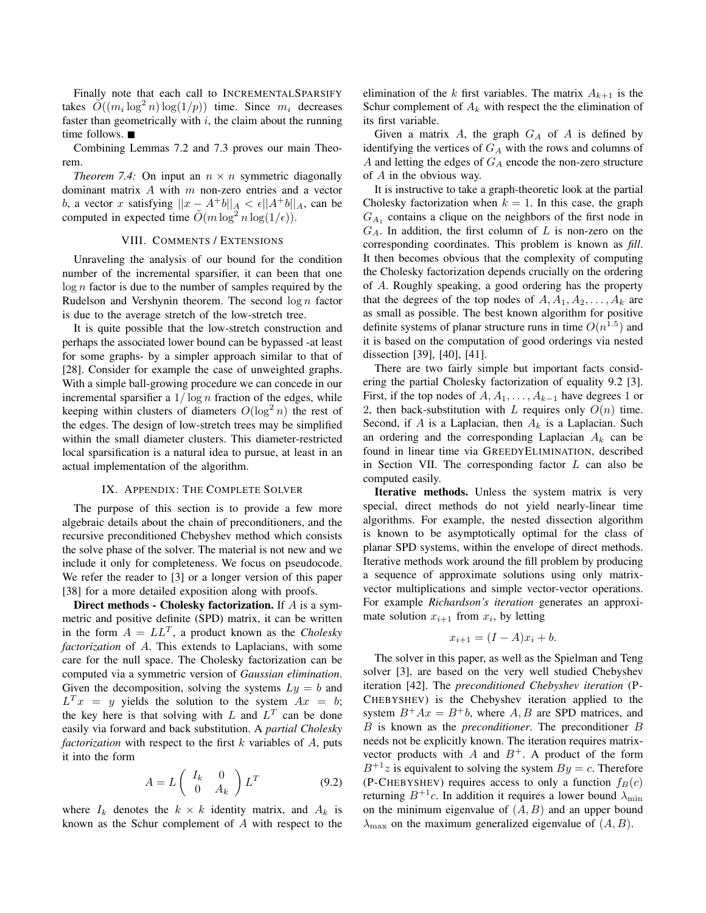Finally note that each call to INCREMENTALSPARSIFY takes  $\tilde{O}((m_i \log^2 n) \log(1/p))$  time. Since  $m_i$  decreases faster than geometrically with  $i$ , the claim about the running time follows.

Combining Lemmas 7.2 and 7.3 proves our main Theorem.

*Theorem 7.4:* On input an  $n \times n$  symmetric diagonally dominant matrix  $A$  with  $m$  non-zero entries and a vector b, a vector x satisfying  $||x - A^+b||_A < \epsilon ||A^+b||_A$ , can be computed in expected time  $\tilde{O}(m \log^2 n \log(1/\epsilon)).$ 

# VIII. COMMENTS / EXTENSIONS

Unraveling the analysis of our bound for the condition number of the incremental sparsifier, it can been that one  $\log n$  factor is due to the number of samples required by the Rudelson and Vershynin theorem. The second  $\log n$  factor is due to the average stretch of the low-stretch tree.

It is quite possible that the low-stretch construction and perhaps the associated lower bound can be bypassed -at least for some graphs- by a simpler approach similar to that of [28]. Consider for example the case of unweighted graphs. With a simple ball-growing procedure we can concede in our incremental sparsifier a  $1/\log n$  fraction of the edges, while keeping within clusters of diameters  $O(\log^2 n)$  the rest of the edges. The design of low-stretch trees may be simplified within the small diameter clusters. This diameter-restricted local sparsification is a natural idea to pursue, at least in an actual implementation of the algorithm.

#### IX. APPENDIX: THE COMPLETE SOLVER

The purpose of this section is to provide a few more algebraic details about the chain of preconditioners, and the recursive preconditioned Chebyshev method which consists the solve phase of the solver. The material is not new and we include it only for completeness. We focus on pseudocode. We refer the reader to [3] or a longer version of this paper [38] for a more detailed exposition along with proofs.

Direct methods - Cholesky factorization. If A is a symmetric and positive definite (SPD) matrix, it can be written in the form  $A = LL^T$ , a product known as the *Cholesky factorization* of A. This extends to Laplacians, with some care for the null space. The Cholesky factorization can be computed via a symmetric version of *Gaussian elimination*. Given the decomposition, solving the systems  $Ly = b$  and  $L^T x = y$  yields the solution to the system  $Ax = b$ ; the key here is that solving with L and  $L<sup>T</sup>$  can be done easily via forward and back substitution. A *partial Cholesky factorization* with respect to the first  $k$  variables of  $A$ , puts it into the form

$$
A = L \begin{pmatrix} I_k & 0 \\ 0 & A_k \end{pmatrix} L^T
$$
 (9.2)

where  $I_k$  denotes the  $k \times k$  identity matrix, and  $A_k$  is known as the Schur complement of A with respect to the elimination of the k first variables. The matrix  $A_{k+1}$  is the Schur complement of  $A_k$  with respect the the elimination of its first variable.

Given a matrix  $A$ , the graph  $G_A$  of  $A$  is defined by identifying the vertices of  $G_A$  with the rows and columns of A and letting the edges of  $G_A$  encode the non-zero structure of A in the obvious way.

It is instructive to take a graph-theoretic look at the partial Cholesky factorization when  $k = 1$ . In this case, the graph  $G_{A_1}$  contains a clique on the neighbors of the first node in  $G_A$ . In addition, the first column of L is non-zero on the corresponding coordinates. This problem is known as *fill*. It then becomes obvious that the complexity of computing the Cholesky factorization depends crucially on the ordering of A. Roughly speaking, a good ordering has the property that the degrees of the top nodes of  $A, A_1, A_2, \ldots, A_k$  are as small as possible. The best known algorithm for positive definite systems of planar structure runs in time  $O(n^{1.5})$  and it is based on the computation of good orderings via nested dissection [39], [40], [41].

There are two fairly simple but important facts considering the partial Cholesky factorization of equality 9.2 [3]. First, if the top nodes of  $A, A_1, \ldots, A_{k-1}$  have degrees 1 or 2, then back-substitution with L requires only  $O(n)$  time. Second, if A is a Laplacian, then  $A_k$  is a Laplacian. Such an ordering and the corresponding Laplacian  $A_k$  can be found in linear time via GREEDYELIMINATION, described in Section VII. The corresponding factor L can also be computed easily.

Iterative methods. Unless the system matrix is very special, direct methods do not yield nearly-linear time algorithms. For example, the nested dissection algorithm is known to be asymptotically optimal for the class of planar SPD systems, within the envelope of direct methods. Iterative methods work around the fill problem by producing a sequence of approximate solutions using only matrixvector multiplications and simple vector-vector operations. For example *Richardson's iteration* generates an approximate solution  $x_{i+1}$  from  $x_i$ , by letting

$$
x_{i+1} = (I - A)x_i + b.
$$

The solver in this paper, as well as the Spielman and Teng solver [3], are based on the very well studied Chebyshev iteration [42]. The *preconditioned Chebyshev iteration* (P-CHEBYSHEV) is the Chebyshev iteration applied to the system  $B^+Ax = B^+b$ , where A, B are SPD matrices, and B is known as the *preconditioner*. The preconditioner B needs not be explicitly known. The iteration requires matrixvector products with  $A$  and  $B^+$ . A product of the form  $B^{+1}z$  is equivalent to solving the system  $By = c$ . Therefore (P-CHEBYSHEV) requires access to only a function  $f_B(c)$ returning  $B^{+1}c$ . In addition it requires a lower bound  $\lambda_{\min}$ on the minimum eigenvalue of  $(A, B)$  and an upper bound  $\lambda_{\text{max}}$  on the maximum generalized eigenvalue of  $(A, B)$ .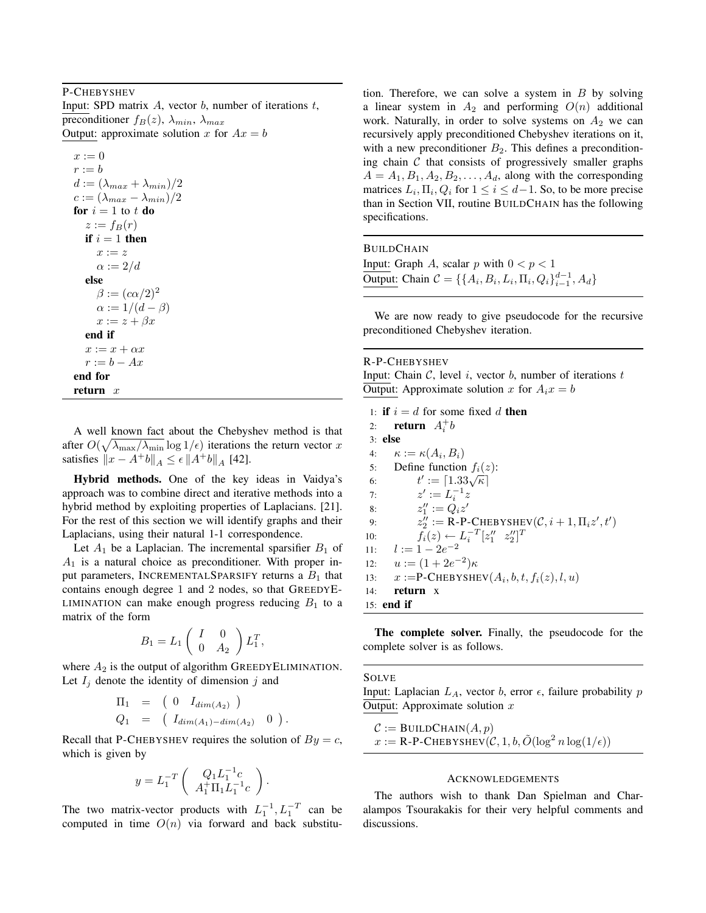### P-CHEBYSHEV

Input: SPD matrix  $A$ , vector  $b$ , number of iterations  $t$ , preconditioner  $f_B(z)$ ,  $\lambda_{min}$ ,  $\lambda_{max}$ Output: approximate solution x for  $Ax = b$ 

 $x := 0$  $r := b$  $d := (\lambda_{max} + \lambda_{min})/2$  $c := (\lambda_{max} - \lambda_{min})/2$ for  $i = 1$  to t do  $z := f_B(r)$ if  $i = 1$  then  $x := z$  $\alpha := 2/d$ else  $\beta := (c\alpha/2)^2$  $\alpha := 1/(d - \beta)$  $x := z + \beta x$ end if  $x := x + \alpha x$  $r := b - Ax$ end for return  $x$ 

A well known fact about the Chebyshev method is that after  $O(\sqrt{\lambda_{\max}/\lambda_{\min}} \log 1/\epsilon)$  iterations the return vector x satisfies  $||x - A^+b||_A \le \epsilon ||A^+b||_A$  [42].

Hybrid methods. One of the key ideas in Vaidya's approach was to combine direct and iterative methods into a hybrid method by exploiting properties of Laplacians. [21]. For the rest of this section we will identify graphs and their Laplacians, using their natural 1-1 correspondence.

Let  $A_1$  be a Laplacian. The incremental sparsifier  $B_1$  of  $A_1$  is a natural choice as preconditioner. With proper input parameters, INCREMENTALSPARSIFY returns a  $B_1$  that contains enough degree 1 and 2 nodes, so that GREEDYE-LIMINATION can make enough progress reducing  $B_1$  to a matrix of the form

$$
B_1 = L_1 \left( \begin{array}{cc} I & 0 \\ 0 & A_2 \end{array} \right) L_1^T,
$$

where  $A_2$  is the output of algorithm GREEDYELIMINATION. Let  $I_j$  denote the identity of dimension j and

$$
\Pi_1 = (0 \quad I_{dim(A_2)} )
$$
  
\n
$$
Q_1 = (I_{dim(A_1) - dim(A_2)} 0)
$$

Recall that P-CHEBYSHEV requires the solution of  $By = c$ , which is given by

.

$$
y = L_1^{-T} \left( \begin{array}{c} Q_1 L_1^{-1} c \\ A_1^+ \Pi_1 L_1^{-1} c \end{array} \right).
$$

The two matrix-vector products with  $L_1^{-1}, L_1^{-T}$  can be computed in time  $O(n)$  via forward and back substitution. Therefore, we can solve a system in  $B$  by solving a linear system in  $A_2$  and performing  $O(n)$  additional work. Naturally, in order to solve systems on  $A_2$  we can recursively apply preconditioned Chebyshev iterations on it, with a new preconditioner  $B_2$ . This defines a preconditioning chain  $C$  that consists of progressively smaller graphs  $A = A_1, B_1, A_2, B_2, \ldots, A_d$ , along with the corresponding matrices  $L_i$ ,  $\Pi_i$ ,  $Q_i$  for  $1 \le i \le d-1$ . So, to be more precise than in Section VII, routine BUILDCHAIN has the following specifications.

**BUILDCHAIN** Input: Graph A, scalar  $p$  with  $0 < p < 1$ Output: Chain  $C = \{ \{A_i, B_i, L_i, \Pi_i, Q_i \}_{i=1}^{d-1}, A_d \}$ 

We are now ready to give pseudocode for the recursive preconditioned Chebyshev iteration.

## R-P-CHEBYSHEV

Input: Chain  $C$ , level i, vector  $b$ , number of iterations  $t$ Output: Approximate solution x for  $A_i x = b$ 

1: if  $i = d$  for some fixed d then 2: **return**  $A_i^+b$ 3: else 4:  $\kappa := \kappa(A_i, B_i)$ 5: Define function  $f_i(z)$ : 6: Define function  $f_i(z)$ <br>6:  $t' := \lfloor 1.33\sqrt{\kappa} \rfloor$ 7:  $z' := L_i^{-1} z$ 8:  $z_1'' := \dot{Q_i} z'$ 9:  $z_2'':= \text{R-P-CHEBYSHEV}(\mathcal{C}, i+1, \Pi_i z', t')$ 10:  $\tilde{f}_i(z) \leftarrow L_i^{-T} [z''_1 \ z''_2]^T$ 11:  $l := 1 - 2e^{-2}$ 12:  $u := (1 + 2e^{-2})\kappa$ 13:  $x := P\text{-CHEBYSHEV}(A_i, b, t, f_i(z), l, u)$ 14: return x 15: end if

The complete solver. Finally, the pseudocode for the complete solver is as follows.

#### SOLVE

Input: Laplacian  $L_A$ , vector b, error  $\epsilon$ , failure probability p Output: Approximate solution  $x$ 

$$
C := \text{BULDCHAIN}(A, p)
$$
  

$$
x := \text{R-P-CHEBYSHEV}(C, 1, b, \tilde{O}(\log^2 n \log(1/\epsilon)))
$$

#### ACKNOWLEDGEMENTS

The authors wish to thank Dan Spielman and Charalampos Tsourakakis for their very helpful comments and discussions.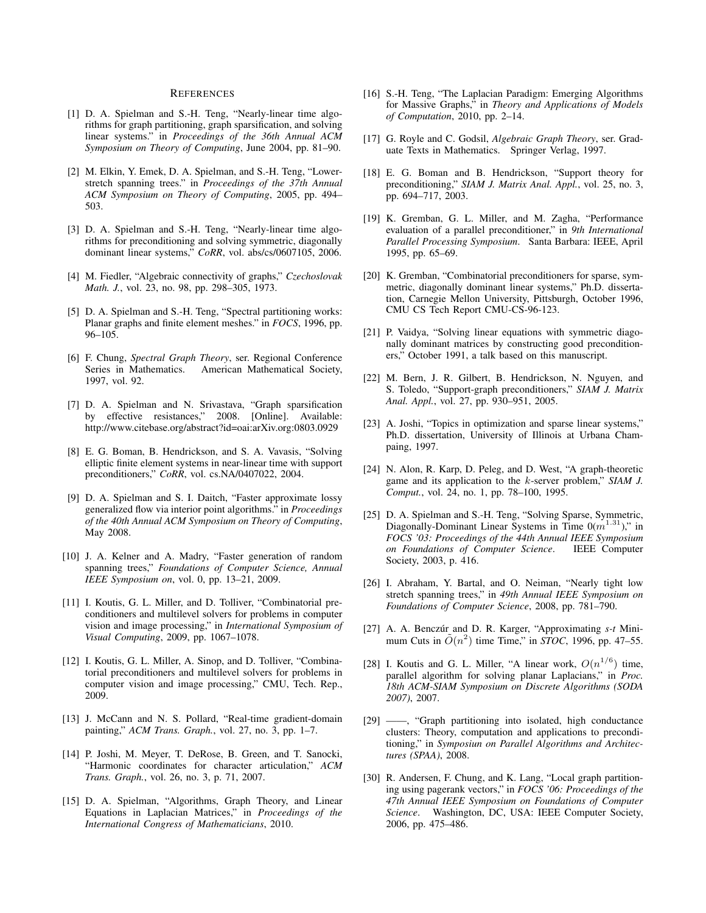#### **REFERENCES**

- [1] D. A. Spielman and S.-H. Teng, "Nearly-linear time algorithms for graph partitioning, graph sparsification, and solving linear systems." in *Proceedings of the 36th Annual ACM Symposium on Theory of Computing*, June 2004, pp. 81–90.
- [2] M. Elkin, Y. Emek, D. A. Spielman, and S.-H. Teng, "Lowerstretch spanning trees." in *Proceedings of the 37th Annual ACM Symposium on Theory of Computing*, 2005, pp. 494– 503.
- [3] D. A. Spielman and S.-H. Teng, "Nearly-linear time algorithms for preconditioning and solving symmetric, diagonally dominant linear systems," *CoRR*, vol. abs/cs/0607105, 2006.
- [4] M. Fiedler, "Algebraic connectivity of graphs," *Czechoslovak Math. J.*, vol. 23, no. 98, pp. 298–305, 1973.
- [5] D. A. Spielman and S.-H. Teng, "Spectral partitioning works: Planar graphs and finite element meshes." in *FOCS*, 1996, pp. 96–105.
- [6] F. Chung, *Spectral Graph Theory*, ser. Regional Conference American Mathematical Society, 1997, vol. 92.
- [7] D. A. Spielman and N. Srivastava, "Graph sparsification by effective resistances," 2008. [Online]. Available: http://www.citebase.org/abstract?id=oai:arXiv.org:0803.0929
- [8] E. G. Boman, B. Hendrickson, and S. A. Vavasis, "Solving elliptic finite element systems in near-linear time with support preconditioners," *CoRR*, vol. cs.NA/0407022, 2004.
- [9] D. A. Spielman and S. I. Daitch, "Faster approximate lossy generalized flow via interior point algorithms." in *Proceedings of the 40th Annual ACM Symposium on Theory of Computing*, May 2008.
- [10] J. A. Kelner and A. Madry, "Faster generation of random spanning trees," *Foundations of Computer Science, Annual IEEE Symposium on*, vol. 0, pp. 13–21, 2009.
- [11] I. Koutis, G. L. Miller, and D. Tolliver, "Combinatorial preconditioners and multilevel solvers for problems in computer vision and image processing," in *International Symposium of Visual Computing*, 2009, pp. 1067–1078.
- [12] I. Koutis, G. L. Miller, A. Sinop, and D. Tolliver, "Combinatorial preconditioners and multilevel solvers for problems in computer vision and image processing," CMU, Tech. Rep., 2009.
- [13] J. McCann and N. S. Pollard, "Real-time gradient-domain painting," *ACM Trans. Graph.*, vol. 27, no. 3, pp. 1–7.
- [14] P. Joshi, M. Meyer, T. DeRose, B. Green, and T. Sanocki, "Harmonic coordinates for character articulation," *ACM Trans. Graph.*, vol. 26, no. 3, p. 71, 2007.
- [15] D. A. Spielman, "Algorithms, Graph Theory, and Linear Equations in Laplacian Matrices," in *Proceedings of the International Congress of Mathematicians*, 2010.
- [16] S.-H. Teng, "The Laplacian Paradigm: Emerging Algorithms for Massive Graphs," in *Theory and Applications of Models of Computation*, 2010, pp. 2–14.
- [17] G. Royle and C. Godsil, *Algebraic Graph Theory*, ser. Graduate Texts in Mathematics. Springer Verlag, 1997.
- [18] E. G. Boman and B. Hendrickson, "Support theory for preconditioning," *SIAM J. Matrix Anal. Appl.*, vol. 25, no. 3, pp. 694–717, 2003.
- [19] K. Gremban, G. L. Miller, and M. Zagha, "Performance evaluation of a parallel preconditioner," in *9th International Parallel Processing Symposium*. Santa Barbara: IEEE, April 1995, pp. 65–69.
- [20] K. Gremban, "Combinatorial preconditioners for sparse, symmetric, diagonally dominant linear systems," Ph.D. dissertation, Carnegie Mellon University, Pittsburgh, October 1996, CMU CS Tech Report CMU-CS-96-123.
- [21] P. Vaidya, "Solving linear equations with symmetric diagonally dominant matrices by constructing good preconditioners," October 1991, a talk based on this manuscript.
- [22] M. Bern, J. R. Gilbert, B. Hendrickson, N. Nguyen, and S. Toledo, "Support-graph preconditioners," *SIAM J. Matrix Anal. Appl.*, vol. 27, pp. 930–951, 2005.
- [23] A. Joshi, "Topics in optimization and sparse linear systems," Ph.D. dissertation, University of Illinois at Urbana Champaing, 1997.
- [24] N. Alon, R. Karp, D. Peleg, and D. West, "A graph-theoretic game and its application to the k-server problem," *SIAM J. Comput.*, vol. 24, no. 1, pp. 78–100, 1995.
- [25] D. A. Spielman and S.-H. Teng, "Solving Sparse, Symmetric, Diagonally-Dominant Linear Systems in Time  $0(m^{1.31})$ ," in *FOCS '03: Proceedings of the 44th Annual IEEE Symposium on Foundations of Computer Science*. IEEE Computer Society, 2003, p. 416.
- [26] I. Abraham, Y. Bartal, and O. Neiman, "Nearly tight low stretch spanning trees," in *49th Annual IEEE Symposium on Foundations of Computer Science*, 2008, pp. 781–790.
- [27] A. A. Benczúr and D. R. Karger, "Approximating  $s$ -t Minimum Cuts in  $\tilde{O}(n^2)$  time Time," in *STOC*, 1996, pp. 47–55.
- [28] I. Koutis and G. L. Miller, "A linear work,  $O(n^{1/6})$  time, parallel algorithm for solving planar Laplacians," in *Proc. 18th ACM-SIAM Symposium on Discrete Algorithms (SODA 2007)*, 2007.
- [29] ——, "Graph partitioning into isolated, high conductance clusters: Theory, computation and applications to preconditioning," in *Symposiun on Parallel Algorithms and Architectures (SPAA)*, 2008.
- [30] R. Andersen, F. Chung, and K. Lang, "Local graph partitioning using pagerank vectors," in *FOCS '06: Proceedings of the 47th Annual IEEE Symposium on Foundations of Computer Science*. Washington, DC, USA: IEEE Computer Society, 2006, pp. 475–486.